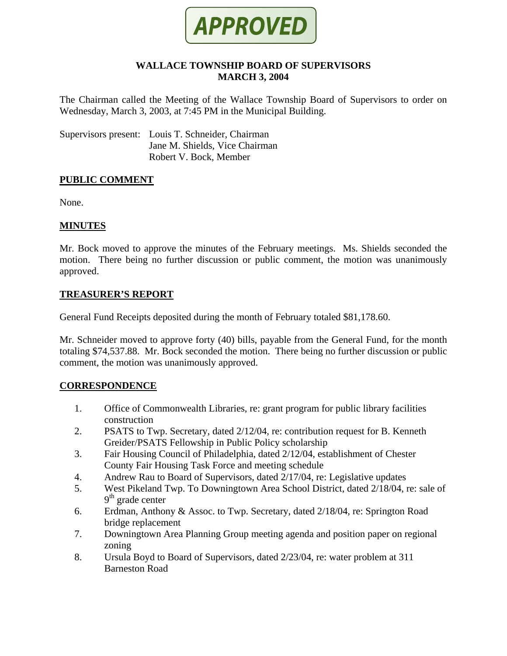

#### **WALLACE TOWNSHIP BOARD OF SUPERVISORS MARCH 3, 2004**

The Chairman called the Meeting of the Wallace Township Board of Supervisors to order on Wednesday, March 3, 2003, at 7:45 PM in the Municipal Building.

Supervisors present: Louis T. Schneider, Chairman Jane M. Shields, Vice Chairman Robert V. Bock, Member

#### **PUBLIC COMMENT**

None.

## **MINUTES**

Mr. Bock moved to approve the minutes of the February meetings. Ms. Shields seconded the motion. There being no further discussion or public comment, the motion was unanimously approved.

#### **TREASURER'S REPORT**

General Fund Receipts deposited during the month of February totaled \$81,178.60.

Mr. Schneider moved to approve forty (40) bills, payable from the General Fund, for the month totaling \$74,537.88. Mr. Bock seconded the motion. There being no further discussion or public comment, the motion was unanimously approved.

## **CORRESPONDENCE**

- 1. Office of Commonwealth Libraries, re: grant program for public library facilities construction
- 2. PSATS to Twp. Secretary, dated 2/12/04, re: contribution request for B. Kenneth Greider/PSATS Fellowship in Public Policy scholarship
- 3. Fair Housing Council of Philadelphia, dated 2/12/04, establishment of Chester County Fair Housing Task Force and meeting schedule
- 4. Andrew Rau to Board of Supervisors, dated 2/17/04, re: Legislative updates
- 5. West Pikeland Twp. To Downingtown Area School District, dated 2/18/04, re: sale of 9<sup>th</sup> grade center
- 6. Erdman, Anthony & Assoc. to Twp. Secretary, dated 2/18/04, re: Springton Road bridge replacement
- 7. Downingtown Area Planning Group meeting agenda and position paper on regional zoning
- 8. Ursula Boyd to Board of Supervisors, dated 2/23/04, re: water problem at 311 Barneston Road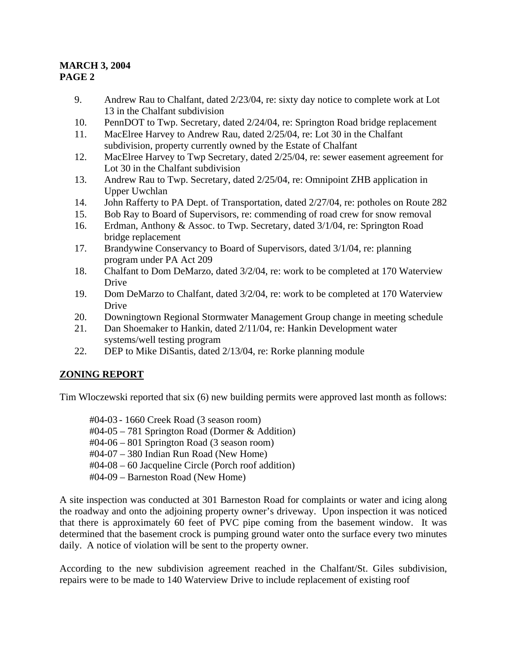- 9. Andrew Rau to Chalfant, dated 2/23/04, re: sixty day notice to complete work at Lot 13 in the Chalfant subdivision
- 10. PennDOT to Twp. Secretary, dated 2/24/04, re: Springton Road bridge replacement
- 11. MacElree Harvey to Andrew Rau, dated 2/25/04, re: Lot 30 in the Chalfant subdivision, property currently owned by the Estate of Chalfant
- 12. MacElree Harvey to Twp Secretary, dated 2/25/04, re: sewer easement agreement for Lot 30 in the Chalfant subdivision
- 13. Andrew Rau to Twp. Secretary, dated 2/25/04, re: Omnipoint ZHB application in Upper Uwchlan
- 14. John Rafferty to PA Dept. of Transportation, dated 2/27/04, re: potholes on Route 282
- 15. Bob Ray to Board of Supervisors, re: commending of road crew for snow removal
- 16. Erdman, Anthony & Assoc. to Twp. Secretary, dated 3/1/04, re: Springton Road bridge replacement
- 17. Brandywine Conservancy to Board of Supervisors, dated 3/1/04, re: planning program under PA Act 209
- 18. Chalfant to Dom DeMarzo, dated 3/2/04, re: work to be completed at 170 Waterview Drive
- 19. Dom DeMarzo to Chalfant, dated 3/2/04, re: work to be completed at 170 Waterview Drive
- 20. Downingtown Regional Stormwater Management Group change in meeting schedule
- 21. Dan Shoemaker to Hankin, dated 2/11/04, re: Hankin Development water systems/well testing program
- 22. DEP to Mike DiSantis, dated 2/13/04, re: Rorke planning module

## **ZONING REPORT**

Tim Wloczewski reported that six (6) new building permits were approved last month as follows:

#04-03 - 1660 Creek Road (3 season room)

- #04-05 781 Springton Road (Dormer & Addition)
- #04-06 801 Springton Road (3 season room)
- #04-07 380 Indian Run Road (New Home)
- #04-08 60 Jacqueline Circle (Porch roof addition)
- #04-09 Barneston Road (New Home)

A site inspection was conducted at 301 Barneston Road for complaints or water and icing along the roadway and onto the adjoining property owner's driveway. Upon inspection it was noticed that there is approximately 60 feet of PVC pipe coming from the basement window. It was determined that the basement crock is pumping ground water onto the surface every two minutes daily. A notice of violation will be sent to the property owner.

According to the new subdivision agreement reached in the Chalfant/St. Giles subdivision, repairs were to be made to 140 Waterview Drive to include replacement of existing roof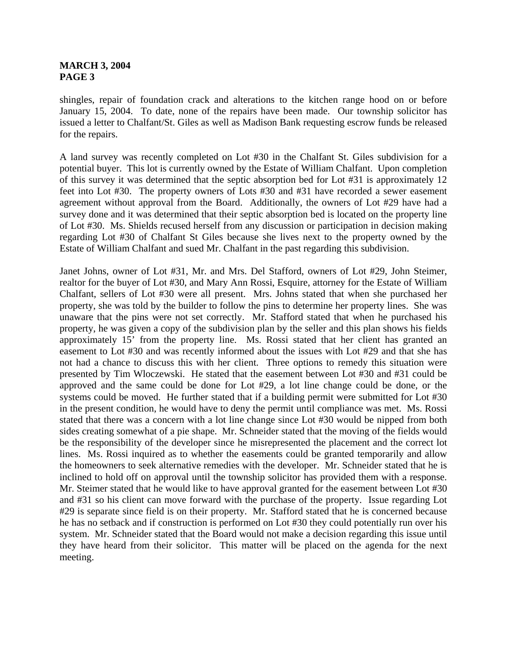shingles, repair of foundation crack and alterations to the kitchen range hood on or before January 15, 2004. To date, none of the repairs have been made. Our township solicitor has issued a letter to Chalfant/St. Giles as well as Madison Bank requesting escrow funds be released for the repairs.

A land survey was recently completed on Lot #30 in the Chalfant St. Giles subdivision for a potential buyer. This lot is currently owned by the Estate of William Chalfant. Upon completion of this survey it was determined that the septic absorption bed for Lot #31 is approximately 12 feet into Lot #30. The property owners of Lots #30 and #31 have recorded a sewer easement agreement without approval from the Board. Additionally, the owners of Lot #29 have had a survey done and it was determined that their septic absorption bed is located on the property line of Lot #30. Ms. Shields recused herself from any discussion or participation in decision making regarding Lot #30 of Chalfant St Giles because she lives next to the property owned by the Estate of William Chalfant and sued Mr. Chalfant in the past regarding this subdivision.

Janet Johns, owner of Lot #31, Mr. and Mrs. Del Stafford, owners of Lot #29, John Steimer, realtor for the buyer of Lot #30, and Mary Ann Rossi, Esquire, attorney for the Estate of William Chalfant, sellers of Lot #30 were all present. Mrs. Johns stated that when she purchased her property, she was told by the builder to follow the pins to determine her property lines. She was unaware that the pins were not set correctly. Mr. Stafford stated that when he purchased his property, he was given a copy of the subdivision plan by the seller and this plan shows his fields approximately 15' from the property line. Ms. Rossi stated that her client has granted an easement to Lot #30 and was recently informed about the issues with Lot #29 and that she has not had a chance to discuss this with her client. Three options to remedy this situation were presented by Tim Wloczewski. He stated that the easement between Lot #30 and #31 could be approved and the same could be done for Lot #29, a lot line change could be done, or the systems could be moved. He further stated that if a building permit were submitted for Lot #30 in the present condition, he would have to deny the permit until compliance was met. Ms. Rossi stated that there was a concern with a lot line change since Lot #30 would be nipped from both sides creating somewhat of a pie shape. Mr. Schneider stated that the moving of the fields would be the responsibility of the developer since he misrepresented the placement and the correct lot lines. Ms. Rossi inquired as to whether the easements could be granted temporarily and allow the homeowners to seek alternative remedies with the developer. Mr. Schneider stated that he is inclined to hold off on approval until the township solicitor has provided them with a response. Mr. Steimer stated that he would like to have approval granted for the easement between Lot #30 and #31 so his client can move forward with the purchase of the property. Issue regarding Lot #29 is separate since field is on their property. Mr. Stafford stated that he is concerned because he has no setback and if construction is performed on Lot #30 they could potentially run over his system. Mr. Schneider stated that the Board would not make a decision regarding this issue until they have heard from their solicitor. This matter will be placed on the agenda for the next meeting.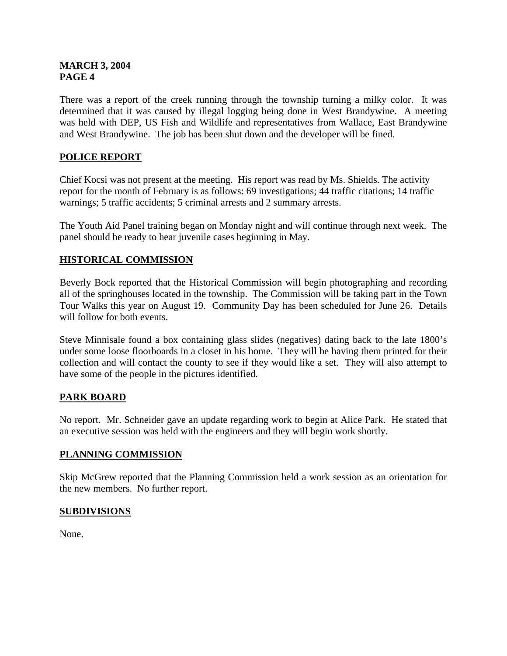There was a report of the creek running through the township turning a milky color. It was determined that it was caused by illegal logging being done in West Brandywine. A meeting was held with DEP, US Fish and Wildlife and representatives from Wallace, East Brandywine and West Brandywine. The job has been shut down and the developer will be fined.

# **POLICE REPORT**

Chief Kocsi was not present at the meeting. His report was read by Ms. Shields. The activity report for the month of February is as follows: 69 investigations; 44 traffic citations; 14 traffic warnings; 5 traffic accidents; 5 criminal arrests and 2 summary arrests.

The Youth Aid Panel training began on Monday night and will continue through next week. The panel should be ready to hear juvenile cases beginning in May.

## **HISTORICAL COMMISSION**

Beverly Bock reported that the Historical Commission will begin photographing and recording all of the springhouses located in the township. The Commission will be taking part in the Town Tour Walks this year on August 19. Community Day has been scheduled for June 26. Details will follow for both events.

Steve Minnisale found a box containing glass slides (negatives) dating back to the late 1800's under some loose floorboards in a closet in his home. They will be having them printed for their collection and will contact the county to see if they would like a set. They will also attempt to have some of the people in the pictures identified.

## **PARK BOARD**

No report. Mr. Schneider gave an update regarding work to begin at Alice Park. He stated that an executive session was held with the engineers and they will begin work shortly.

#### **PLANNING COMMISSION**

Skip McGrew reported that the Planning Commission held a work session as an orientation for the new members. No further report.

## **SUBDIVISIONS**

None.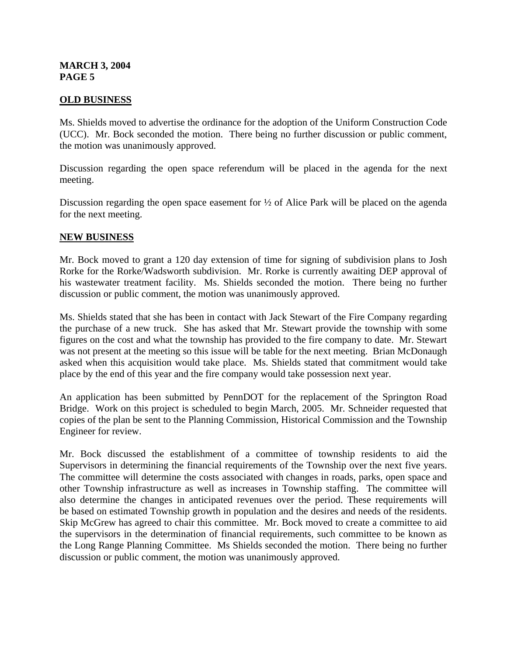#### **OLD BUSINESS**

Ms. Shields moved to advertise the ordinance for the adoption of the Uniform Construction Code (UCC). Mr. Bock seconded the motion. There being no further discussion or public comment, the motion was unanimously approved.

Discussion regarding the open space referendum will be placed in the agenda for the next meeting.

Discussion regarding the open space easement for  $\frac{1}{2}$  of Alice Park will be placed on the agenda for the next meeting.

#### **NEW BUSINESS**

Mr. Bock moved to grant a 120 day extension of time for signing of subdivision plans to Josh Rorke for the Rorke/Wadsworth subdivision. Mr. Rorke is currently awaiting DEP approval of his wastewater treatment facility. Ms. Shields seconded the motion. There being no further discussion or public comment, the motion was unanimously approved.

Ms. Shields stated that she has been in contact with Jack Stewart of the Fire Company regarding the purchase of a new truck. She has asked that Mr. Stewart provide the township with some figures on the cost and what the township has provided to the fire company to date. Mr. Stewart was not present at the meeting so this issue will be table for the next meeting. Brian McDonaugh asked when this acquisition would take place. Ms. Shields stated that commitment would take place by the end of this year and the fire company would take possession next year.

An application has been submitted by PennDOT for the replacement of the Springton Road Bridge. Work on this project is scheduled to begin March, 2005. Mr. Schneider requested that copies of the plan be sent to the Planning Commission, Historical Commission and the Township Engineer for review.

Mr. Bock discussed the establishment of a committee of township residents to aid the Supervisors in determining the financial requirements of the Township over the next five years. The committee will determine the costs associated with changes in roads, parks, open space and other Township infrastructure as well as increases in Township staffing. The committee will also determine the changes in anticipated revenues over the period. These requirements will be based on estimated Township growth in population and the desires and needs of the residents. Skip McGrew has agreed to chair this committee. Mr. Bock moved to create a committee to aid the supervisors in the determination of financial requirements, such committee to be known as the Long Range Planning Committee. Ms Shields seconded the motion. There being no further discussion or public comment, the motion was unanimously approved.